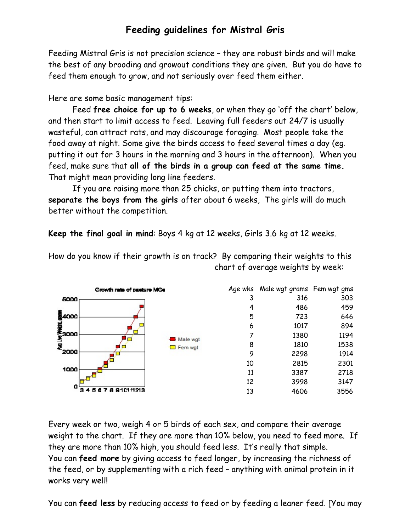## **Feeding guidelines for Mistral Gris**

Feeding Mistral Gris is not precision science – they are robust birds and will make the best of any brooding and growout conditions they are given. But you do have to feed them enough to grow, and not seriously over feed them either.

Here are some basic management tips:

Feed **free choice for up to 6 weeks**, or when they go 'off the chart' below, and then start to limit access to feed. Leaving full feeders out 24/7 is usually wasteful, can attract rats, and may discourage foraging. Most people take the food away at night. Some give the birds access to feed several times a day (eg. putting it out for 3 hours in the morning and 3 hours in the afternoon). When you feed, make sure that **all of the birds in a group can feed at the same time.** That might mean providing long line feeders.

If you are raising more than 25 chicks, or putting them into tractors, **separate the boys from the girls** after about 6 weeks, The girls will do much better without the competition.

**Keep the final goal in mind**: Boys 4 kg at 12 weeks, Girls 3.6 kg at 12 weeks.

How do you know if their growth is on track? By comparing their weights to this chart of average weights by week:



Every week or two, weigh 4 or 5 birds of each sex, and compare their average weight to the chart. If they are more than 10% below, you need to feed more. If they are more than 10% high, you should feed less. It's really that simple. You can **feed more** by giving access to feed longer, by increasing the richness of the feed, or by supplementing with a rich feed – anything with animal protein in it works very well!

You can **feed less** by reducing access to feed or by feeding a leaner feed. [You may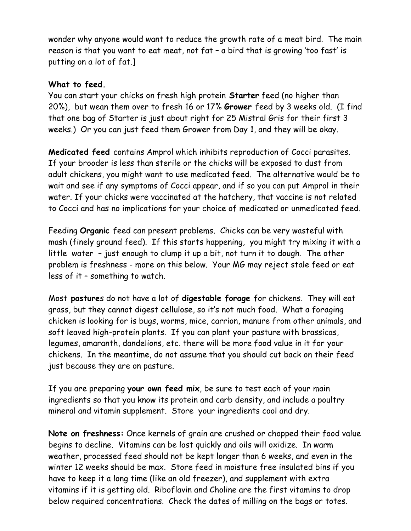wonder why anyone would want to reduce the growth rate of a meat bird. The main reason is that you want to eat meat, not fat – a bird that is growing 'too fast' is putting on a lot of fat.]

## **What to feed.**

You can start your chicks on fresh high protein **Starter** feed (no higher than 20%), but wean them over to fresh 16 or 17% **Grower** feed by 3 weeks old. (I find that one bag of Starter is just about right for 25 Mistral Gris for their first 3 weeks.) Or you can just feed them Grower from Day 1, and they will be okay.

**Medicated feed** contains Amprol which inhibits reproduction of Cocci parasites. If your brooder is less than sterile or the chicks will be exposed to dust from adult chickens, you might want to use medicated feed. The alternative would be to wait and see if any symptoms of Cocci appear, and if so you can put Amprol in their water. If your chicks were vaccinated at the hatchery, that vaccine is not related to Cocci and has no implications for your choice of medicated or unmedicated feed.

Feeding **Organic** feed can present problems. Chicks can be very wasteful with mash (finely ground feed). If this starts happening, you might try mixing it with a little water – just enough to clump it up a bit, not turn it to dough. The other problem is freshness - more on this below. Your MG may reject stale feed or eat less of it – something to watch.

Most **pasture**s do not have a lot of **digestable forage** for chickens. They will eat grass, but they cannot digest cellulose, so it's not much food. What a foraging chicken is looking for is bugs, worms, mice, carrion, manure from other animals, and soft leaved high-protein plants. If you can plant your pasture with brassicas, legumes, amaranth, dandelions, etc. there will be more food value in it for your chickens. In the meantime, do not assume that you should cut back on their feed just because they are on pasture.

If you are preparing **your own feed mix**, be sure to test each of your main ingredients so that you know its protein and carb density, and include a poultry mineral and vitamin supplement. Store your ingredients cool and dry.

**Note on freshness:** Once kernels of grain are crushed or chopped their food value begins to decline. Vitamins can be lost quickly and oils will oxidize. In warm weather, processed feed should not be kept longer than 6 weeks, and even in the winter 12 weeks should be max. Store feed in moisture free insulated bins if you have to keep it a long time (like an old freezer), and supplement with extra vitamins if it is getting old. Riboflavin and Choline are the first vitamins to drop below required concentrations. Check the dates of milling on the bags or totes.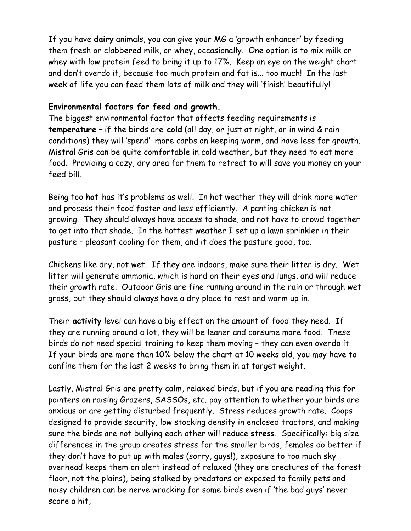If you have **dairy** animals, you can give your MG a 'growth enhancer' by feeding them fresh or clabbered milk, or whey, occasionally. One option is to mix milk or whey with low protein feed to bring it up to 17%. Keep an eye on the weight chart and don't overdo it, because too much protein and fat is... too much! In the last week of life you can feed them lots of milk and they will 'finish' beautifully!

## **Environmental factors for feed and growth.**

The biggest environmental factor that affects feeding requirements is **temperature** – if the birds are **cold** (all day, or just at night, or in wind & rain conditions) they will 'spend' more carbs on keeping warm, and have less for growth. Mistral Gris can be quite comfortable in cold weather, but they need to eat more food. Providing a cozy, dry area for them to retreat to will save you money on your feed bill.

Being too **hot** has it's problems as well. In hot weather they will drink more water and process their food faster and less efficiently. A panting chicken is not growing. They should always have access to shade, and not have to crowd together to get into that shade. In the hottest weather I set up a lawn sprinkler in their pasture – pleasant cooling for them, and it does the pasture good, too.

Chickens like dry, not wet. If they are indoors, make sure their litter is dry. Wet litter will generate ammonia, which is hard on their eyes and lungs, and will reduce their growth rate. Outdoor Gris are fine running around in the rain or through wet grass, but they should always have a dry place to rest and warm up in.

Their **activity** level can have a big effect on the amount of food they need. If they are running around a lot, they will be leaner and consume more food. These birds do not need special training to keep them moving – they can even overdo it. If your birds are more than 10% below the chart at 10 weeks old, you may have to confine them for the last 2 weeks to bring them in at target weight.

Lastly, Mistral Gris are pretty calm, relaxed birds, but if you are reading this for pointers on raising Grazers, SASSOs, etc. pay attention to whether your birds are anxious or are getting disturbed frequently. Stress reduces growth rate. Coops designed to provide security, low stocking density in enclosed tractors, and making sure the birds are not bullying each other will reduce **stress**. Specifically: big size differences in the group creates stress for the smaller birds, females do better if they don't have to put up with males (sorry, guys!), exposure to too much sky overhead keeps them on alert instead of relaxed (they are creatures of the forest floor, not the plains), being stalked by predators or exposed to family pets and noisy children can be nerve wracking for some birds even if 'the bad guys' never score a hit,